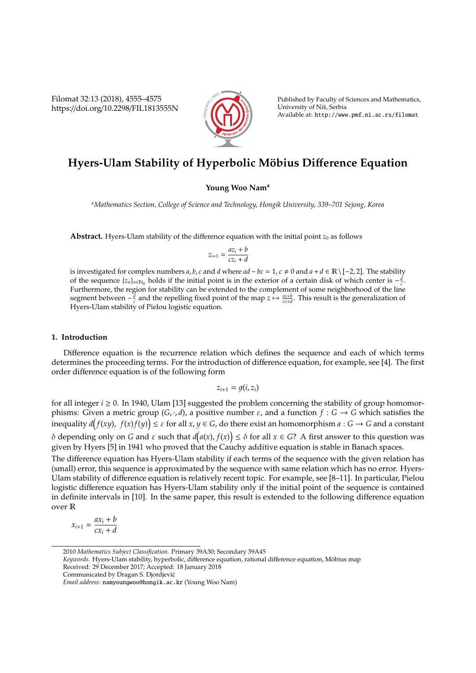Filomat 32:13 (2018), 4555–4575 https://doi.org/10.2298/FIL1813555N



Published by Faculty of Sciences and Mathematics, University of Niš, Serbia Available at: http://www.pmf.ni.ac.rs/filomat

# **Hyers-Ulam Stability of Hyperbolic Möbius Difference Equation**

# **Young Woo Nam<sup>a</sup>**

*<sup>a</sup>Mathematics Section, College of Science and Technology, Hongik University, 339–701 Sejong, Korea*

**Abstract.** Hyers-Ulam stability of the difference equation with the initial point  $z_0$  as follows

$$
z_{i+1} = \frac{az_i + b}{cz_i + d}
$$

is investigated for complex numbers *a*, *b*, *c* and *d* where  $ad - bc = 1$ ,  $c ≠ 0$  and  $a + d ∈ ℝ \ [ -2, 2].$  The stability of the sequence  $\{z_n\}_{n\in\mathbb{N}_0}$  holds if the initial point is in the exterior of a certain disk of which center is  $-\frac{d}{c}$ . Furthermore, the region for stability can be extended to the complement of some neighborhood of the line segment between  $-\frac{d}{c}$  and the repelling fixed point of the map  $z \mapsto \frac{az+b}{cz+d}$ . This result is the generalization of Hyers-Ulam stability of Pielou logistic equation.

# **1. Introduction**

Difference equation is the recurrence relation which defines the sequence and each of which terms determines the proceeding terms. For the introduction of difference equation, for example, see [4]. The first order difference equation is of the following form

$$
z_{i+1}=g(i,z_i)
$$

for all integer  $i \ge 0$ . In 1940, Ulam [13] suggested the problem concerning the stability of group homomorphisms: Given a metric group (*G*, ·, *d*), a positive number  $\varepsilon$ , and a function  $f : G \to G$  which satisfies the inequality  $d(f(xy), f(x)f(y)) \leq \varepsilon$  for all  $x, y \in G$ , do there exist an homomorphism  $a: G \to G$  and a constant δ depending only on *G* and *ε* such that  $d(a(x), f(x)) ≤ δ$  for all  $x ∈ G$ ? A first answer to this question was given by Hyers [5] in 1941 who proved that the Cauchy additive equation is stable in Banach spaces. The difference equation has Hyers-Ulam stability if each terms of the sequence with the given relation has (small) error, this sequence is approximated by the sequence with same relation which has no error. Hyers-Ulam stability of difference equation is relatively recent topic. For example, see [8–11]. In particular, Pielou logistic difference equation has Hyers-Ulam stability only if the initial point of the sequence is contained in definite intervals in [10]. In the same paper, this result is extended to the following difference equation over R

$$
x_{i+1} = \frac{ax_i + b}{cx_i + d}
$$

<sup>2010</sup> *Mathematics Subject Classification*. Primary 39A30; Secondary 39A45

Keywords. Hyers-Ulam stability, hyperbolic, difference equation, rational difference equation, Möbius map Received: 29 December 2017; Accepted: 18 January 2018

Communicated by Dragan S. Djordjevic´

*Email address:* namyoungwoo@hongik.ac.kr (Young Woo Nam)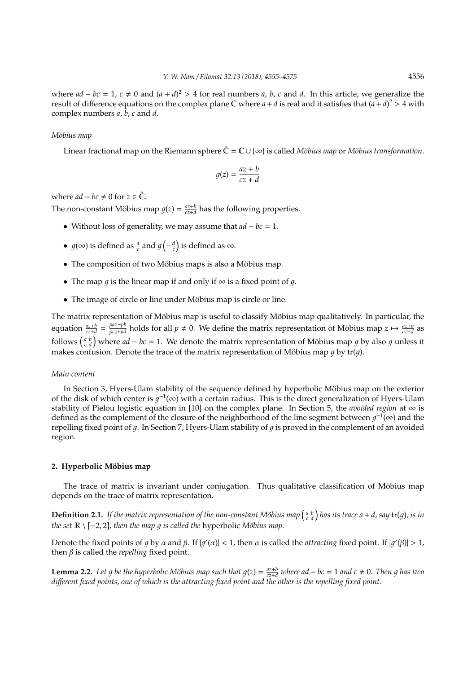where  $ad - bc = 1$ ,  $c \neq 0$  and  $(a + d)^2 > 4$  for real numbers *a*, *b*, *c* and *d*. In this article, we generalize the result of difference equations on the complex plane  $\mathbb C$  where  $a + d$  is real and it satisfies that  $(a + d)^2 > 4$  with complex numbers *a*, *b*, *c* and *d*.

## *M¨obius map*

Linear fractional map on the Riemann sphere  $\hat{C} = C \cup \{\infty\}$  is called *Möbius map* or *Möbius transformation*.

$$
g(z) = \frac{az + b}{cz + d}
$$

where  $ad - bc \neq 0$  for  $z \in \hat{\mathbb{C}}$ .

The non-constant Möbius map  $g(z) = \frac{az+b}{cz+d}$  has the following properties.

- Without loss of generality, we may assume that *ad* − *bc* = 1.
- $g(\infty)$  is defined as  $\frac{a}{c}$  and  $g\left(-\frac{d}{c}\right)$  is defined as  $\infty$ .
- The composition of two Möbius maps is also a Möbius map.
- The map q is the linear map if and only if  $\infty$  is a fixed point of q.
- The image of circle or line under Möbius map is circle or line.

The matrix representation of Möbius map is useful to classify Möbius map qualitatively. In particular, the equation  $\frac{az+b}{cz+d} = \frac{paz+pb}{pcz+pd}$  holds for all  $p \neq 0$ . We define the matrix representation of Möbius map  $z \mapsto \frac{az+b}{cz+d}$  as follows  $\begin{pmatrix} a & b \\ c & d \end{pmatrix}$  where  $ad - bc = 1$ . We denote the matrix representation of Möbius map g by also g unless it makes confusion. Denote the trace of the matrix representation of Möbius map  $q$  by tr( $q$ ).

#### *Main content*

In Section 3, Hyers-Ulam stability of the sequence defined by hyperbolic Möbius map on the exterior of the disk of which center is  $g^{-1}(\infty)$  with a certain radius. This is the direct generalization of Hyers-Ulam stability of Pielou logistic equation in [10] on the complex plane. In Section 5, the *avoided region* at ∞ is defined as the complement of the closure of the neighborhood of the line segment between  $g^{-1}(\infty)$  and the repelling fixed point of  $q$ . In Section 7, Hyers-Ulam stability of  $q$  is proved in the complement of an avoided region.

# 2. Hyperbolic Möbius map

The trace of matrix is invariant under conjugation. Thus qualitative classification of Möbius map depends on the trace of matrix representation.

**Definition 2.1.** If the matrix representation of the non-constant Möbius map  $\binom{a}{c}\,d$  has its trace  $a + d$ , say  $tr(g)$ , is in *the set*  $\mathbb{R} \setminus [-2, 2]$ *, then the map g is called the hyperbolic Möbius map.* 

Denote the fixed points of g by  $\alpha$  and  $\beta$ . If  $|g'(\alpha)| < 1$ , then  $\alpha$  is called the *attracting* fixed point. If  $|g'(\beta)| > 1$ , then β is called the *repelling* fixed point.

**Lemma 2.2.** Let g be the hyperbolic Möbius map such that  $g(z) = \frac{az+b}{cz+d}$  where ad – bc = 1 and c  $\neq$  0. Then g has two *di*ff*erent fixed points, one of which is the attracting fixed point and the other is the repelling fixed point.*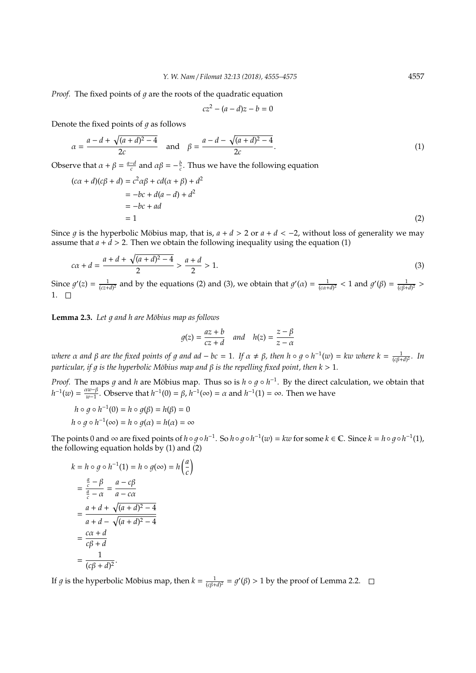*Proof.* The fixed points of  $q$  are the roots of the quadratic equation

$$
cz^2 - (a-d)z - b = 0
$$

Denote the fixed points of  $q$  as follows

$$
\alpha = \frac{a - d + \sqrt{(a + d)^2 - 4}}{2c} \quad \text{and} \quad \beta = \frac{a - d - \sqrt{(a + d)^2 - 4}}{2c}.
$$
 (1)

Observe that  $\alpha + \beta = \frac{a-d}{c}$  and  $\alpha\beta = -\frac{b}{c}$ . Thus we have the following equation

$$
(c\alpha + d)(c\beta + d) = c^2 \alpha \beta + cd(\alpha + \beta) + d^2
$$
  
= -bc + d(a - d) + d<sup>2</sup>  
= -bc + ad  
= 1 (2)

Since *g* is the hyperbolic Möbius map, that is,  $a + d > 2$  or  $a + d < -2$ , without loss of generality we may assume that  $a + d > 2$ . Then we obtain the following inequality using the equation (1)

$$
c\alpha + d = \frac{a + d + \sqrt{(a + d)^2 - 4}}{2} > \frac{a + d}{2} > 1.
$$
\n(3)

Since  $g'(z) = \frac{1}{(cz+d)^2}$  and by the equations (2) and (3), we obtain that  $g'(a) = \frac{1}{(c\alpha+d)^2} < 1$  and  $g'(\beta) = \frac{1}{(c\beta+d)^2} >$  $1. \square$ 

**Lemma 2.3.** *Let g and h are Möbius map as follows* 

$$
g(z) = \frac{az+b}{cz+d} \quad and \quad h(z) = \frac{z-\beta}{z-\alpha}
$$

*where* α and β are the fixed points of g and ad – bc = 1. If  $\alpha \neq \beta$ , then  $h \circ g \circ h^{-1}(w) = kw$  where  $k = \frac{1}{(c\beta+d)^2}$ . In *particular, if g is the hyperbolic Möbius map and*  $\beta$  *is the repelling fixed point, then*  $k > 1$ *.* 

*Proof.* The maps g and *h* are Möbius map. Thus so is  $h \circ g \circ h^{-1}$ . By the direct calculation, we obtain that  $h^{-1}(w) = \frac{\alpha w - \beta}{w - 1}$ *w*<sup>-β</sup>. Observe that *h*<sup>-1</sup>(0) = *β*, *h*<sup>-1</sup>(∞) = *α* and *h*<sup>-1</sup>(1) = ∞. Then we have

$$
h \circ g \circ h^{-1}(0) = h \circ g(\beta) = h(\beta) = 0
$$
  

$$
h \circ g \circ h^{-1}(\infty) = h \circ g(\alpha) = h(\alpha) = \infty
$$

The points 0 and  $\infty$  are fixed points of  $h \circ g \circ h^{-1}$ . So  $h \circ g \circ h^{-1}(w) = kw$  for some  $k \in \mathbb{C}$ . Since  $k = h \circ g \circ h^{-1}(1)$ , the following equation holds by (1) and (2)

$$
k = h \circ g \circ h^{-1}(1) = h \circ g(\infty) = h\left(\frac{a}{c}\right)
$$
  
= 
$$
\frac{\frac{a}{c} - \beta}{\frac{a}{c} - \alpha} = \frac{a - c\beta}{a - c\alpha}
$$
  
= 
$$
\frac{a + d + \sqrt{(a + d)^2 - 4}}{a + d - \sqrt{(a + d)^2 - 4}}
$$
  
= 
$$
\frac{c\alpha + d}{c\beta + d}
$$
  
= 
$$
\frac{1}{(c\beta + d)^2}.
$$

If *g* is the hyperbolic Möbius map, then  $k = \frac{1}{(c\beta + d)^2} = g'(\beta) > 1$  by the proof of Lemma 2.2.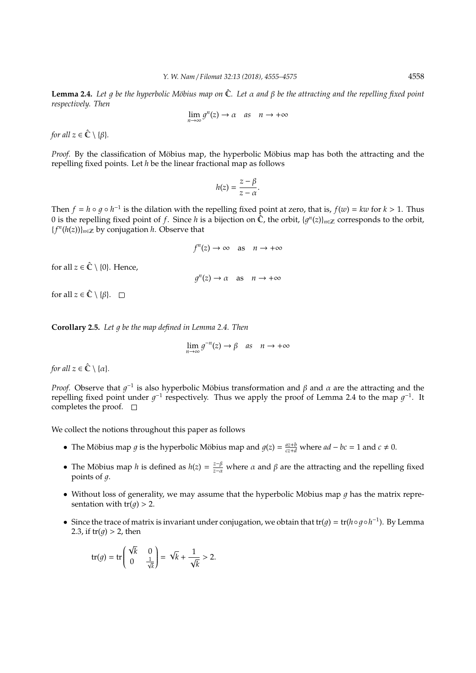**Lemma 2.4.** *Let q be the hyperbolic Möbius map on* **Ĉ**. *Let* α *and β be the attracting and the repelling fixed point respectively. Then*

$$
\lim_{n \to \infty} g^n(z) \to \alpha \quad as \quad n \to +\infty
$$

*for all*  $z \in \hat{\mathbb{C}} \setminus \{\beta\}.$ 

*Proof.* By the classification of Möbius map, the hyperbolic Möbius map has both the attracting and the repelling fixed points. Let *h* be the linear fractional map as follows

$$
h(z)=\frac{z-\beta}{z-\alpha}.
$$

Then  $f = h \circ g \circ h^{-1}$  is the dilation with the repelling fixed point at zero, that is,  $f(w) = kw$  for  $k > 1$ . Thus 0 is the repelling fixed point of *f*. Since *h* is a bijection on  $\hat{C}$ , the orbit,  $\{g^n(z)\}_{n\in\mathbb{Z}}$  corresponds to the orbit, {*f n* (*h*(*z*))}*n*∈<sup>Z</sup> by conjugation *h*. Observe that

$$
f^{n}(z) \to \infty \quad \text{as} \quad n \to +\infty
$$

for all  $z \in \hat{\mathbb{C}} \setminus \{0\}$ . Hence,

 $g^{n}(z) \rightarrow \alpha$  as  $n \rightarrow +\infty$ 

for all  $z \in \hat{\mathbb{C}} \setminus \{\beta\}.$   $\square$ 

**Corollary 2.5.** Let g be the map defined in Lemma 2.4. Then

 $\lim_{n \to \infty} g^{-n}(z) \to \beta \quad \text{as} \quad n \to +\infty$ 

*for all*  $z \in \hat{\mathbb{C}} \setminus \{\alpha\}.$ 

*Proof.* Observe that  $g^{-1}$  is also hyperbolic Möbius transformation and  $\beta$  and  $\alpha$  are the attracting and the repelling fixed point under  $g^{-1}$  respectively. Thus we apply the proof of Lemma 2.4 to the map  $g^{-1}$ . It completes the proof.  $\square$ 

We collect the notions throughout this paper as follows

- The Möbius map *g* is the hyperbolic Möbius map and  $g(z) = \frac{az+b}{cz+d}$  where  $ad bc = 1$  and  $c \neq 0$ .
- The Möbius map *h* is defined as  $h(z) = \frac{z-\beta}{z-\alpha}$  where  $\alpha$  and  $\beta$  are the attracting and the repelling fixed points of  $q$ .
- Without loss of generality, we may assume that the hyperbolic Möbius map  $q$  has the matrix representation with  $tr(q) > 2$ .
- Since the trace of matrix is invariant under conjugation, we obtain that tr( $g$ ) = tr( $h \circ g \circ h^{-1}$ ). By Lemma 2.3, if  $tr(q) > 2$ , then

$$
\operatorname{tr}(g) = \operatorname{tr}\begin{pmatrix} \sqrt{k} & 0 \\ 0 & \frac{1}{\sqrt{k}} \end{pmatrix} = \sqrt{k} + \frac{1}{\sqrt{k}} > 2.
$$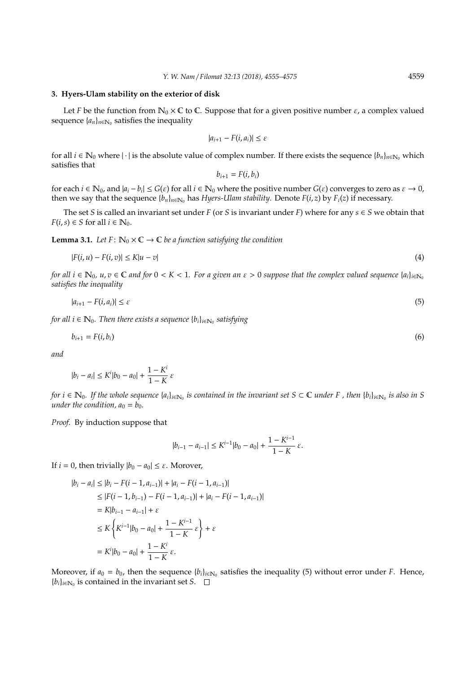#### **3. Hyers-Ulam stability on the exterior of disk**

Let *F* be the function from  $\mathbb{N}_0 \times \mathbb{C}$  to  $\mathbb{C}$ . Suppose that for a given positive number  $\varepsilon$ , a complex valued sequence  $\{a_n\}_{n \in \mathbb{N}_0}$  satisfies the inequality

$$
|a_{i+1} - F(i, a_i)| \leq \varepsilon
$$

for all *i* ∈  $\mathbb{N}_0$  where  $|\cdot|$  is the absolute value of complex number. If there exists the sequence  $\{b_n\}_{n\in\mathbb{N}_0}$  which satisfies that

$$
b_{i+1}=F(i,b_i)
$$

for each  $i \in \mathbb{N}_0$ , and  $|a_i - b_i| \le G(\varepsilon)$  for all  $i \in \mathbb{N}_0$  where the positive number  $G(\varepsilon)$  converges to zero as  $\varepsilon \to 0$ , then we say that the sequence  ${b_n}_{n \in \mathbb{N}_0}$  has *Hyers-Ulam stability*. Denote  $F(i, z)$  by  $F_i(z)$  if necessary.

The set *S* is called an invariant set under *F* (or *S* is invariant under *F*) where for any  $s \in S$  we obtain that  $F(i, s) \in S$  for all  $i \in \mathbb{N}_0$ .

**Lemma 3.1.** *Let*  $F: \mathbb{N}_0 \times \mathbb{C} \to \mathbb{C}$  *be a function satisfying the condition* 

$$
|F(i, u) - F(i, v)| \le K|u - v| \tag{4}
$$

*for all*  $i \in \mathbb{N}_0$ ,  $u, v \in \mathbb{C}$  and for  $0 < K < 1$ . For a given an  $\varepsilon > 0$  suppose that the complex valued sequence  $\{a_i\}_{i \in \mathbb{N}_0}$ *satisfies the inequality*

$$
|a_{i+1} - F(i, a_i)| \le \varepsilon \tag{5}
$$

*for all i*  $\in \mathbb{N}_0$ . *Then there exists a sequence*  $\{b_i\}_{i \in \mathbb{N}_0}$  *satisfying* 

$$
b_{i+1} = F(i, b_i) \tag{6}
$$

*and*

$$
|b_i - a_i| \le K^i |b_0 - a_0| + \frac{1 - K^i}{1 - K} \varepsilon
$$

*for*  $i \in \mathbb{N}_0$ . If the whole sequence  $\{a_i\}_{i \in \mathbb{N}_0}$  is contained in the invariant set S ⊂ C under F , then  $\{b_i\}_{i \in \mathbb{N}_0}$  is also in S *under the condition,*  $a_0 = b_0$ *.* 

*Proof.* By induction suppose that

$$
|b_{i-1} - a_{i-1}| \le K^{i-1} |b_0 - a_0| + \frac{1 - K^{i-1}}{1 - K} \varepsilon.
$$

If  $i = 0$ , then trivially  $|b_0 - a_0| \le \varepsilon$ . Morover,

$$
|b_i - a_i| \le |b_i - F(i - 1, a_{i-1})| + |a_i - F(i - 1, a_{i-1})|
$$
  
\n
$$
\le |F(i - 1, b_{i-1}) - F(i - 1, a_{i-1})| + |a_i - F(i - 1, a_{i-1})|
$$
  
\n
$$
= K|b_{i-1} - a_{i-1}| + \varepsilon
$$
  
\n
$$
\le K \left\{ K^{i-1} |b_0 - a_0| + \frac{1 - K^{i-1}}{1 - K} \varepsilon \right\} + \varepsilon
$$
  
\n
$$
= K^i |b_0 - a_0| + \frac{1 - K^i}{1 - K} \varepsilon.
$$

Moreover, if  $a_0 = b_0$ , then the sequence  $\{b_i\}_{i \in \mathbb{N}_0}$  satisfies the inequality (5) without error under *F*. Hence,  ${b_i}_{i \in \mathbb{N}_0}$  is contained in the invariant set *S*.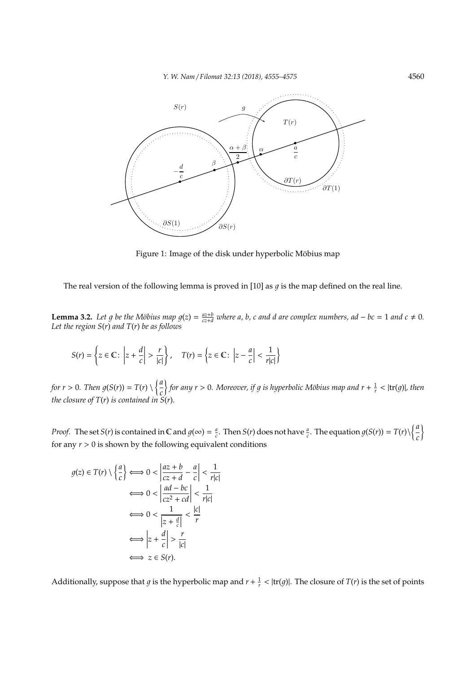

Figure 1: Image of the disk under hyperbolic Möbius map

The real version of the following lemma is proved in [10] as  $q$  is the map defined on the real line.

**Lemma 3.2.** Let g be the Möbius map  $g(z) = \frac{az+b}{cz+d}$  where a, b, c and d are complex numbers, ad – bc = 1 and c  $\neq 0$ . *Let the region S*(*r*) *and T*(*r*) *be as follows*

$$
S(r) = \left\{ z \in \mathbb{C} \colon \left| z + \frac{d}{c} \right| > \frac{r}{|c|} \right\}, \quad T(r) = \left\{ z \in \mathbb{C} \colon \left| z - \frac{a}{c} \right| < \frac{1}{r|c|} \right\}
$$

*for*  $r > 0$ *. Then*  $g(S(r)) = T(r) \setminus \left\{\frac{a}{r}\right\}$ *c*  $\int$  for any  $r > 0$ . Moreover, if g is hyperbolic Möbius map and  $r + \frac{1}{r} < |{\rm tr}(g)|$ , then *the closure of T*(*r*) *is contained in S*(*r*)*.*

*Proof.* The set *S*(*r*) is contained in C and  $g(\infty) = \frac{a}{c}$ . Then *S*(*r*) does not have  $\frac{a}{c}$ . The equation  $g(S(r)) = T(r)\sqrt{\frac{a}{c}}$ *c*  $\mathcal{I}_{\mathcal{I}}$ for any  $r > 0$  is shown by the following equivalent conditions

$$
g(z) \in T(r) \setminus \left\{ \frac{a}{c} \right\} \Longleftrightarrow 0 < \left| \frac{az + b}{cz + d} - \frac{a}{c} \right| < \frac{1}{r|c|}
$$
\n
$$
\Longleftrightarrow 0 < \left| \frac{ad - bc}{cz^2 + cd} \right| < \frac{1}{r|c|}
$$
\n
$$
\Longleftrightarrow 0 < \frac{1}{|z + \frac{d}{c}|} < \frac{|c|}{r}
$$
\n
$$
\Longleftrightarrow \left| z + \frac{d}{c} \right| > \frac{r}{|c|}
$$
\n
$$
\Longleftrightarrow z \in S(r).
$$

Additionally, suppose that *g* is the hyperbolic map and  $r + \frac{1}{r} < |tr(g)|$ . The closure of *T*(*r*) is the set of points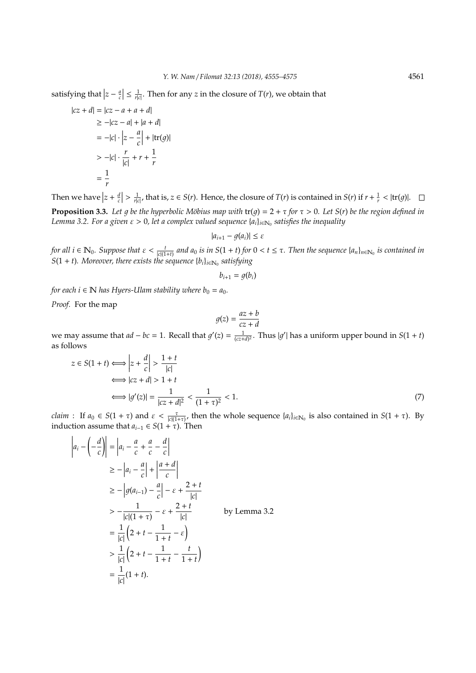satisfying that  $|z - \frac{a}{c}| \leq \frac{1}{r|c|}$ . Then for any *z* in the closure of *T*(*r*), we obtain that

$$
|cz+d| = |cz-a+a+d|
$$
  
\n
$$
\geq -|cz-a| + |a+d|
$$
  
\n
$$
= -|c| \cdot \left|z - \frac{a}{c}\right| + |\text{tr}(g)|
$$
  
\n
$$
> -|c| \cdot \frac{r}{|c|} + r + \frac{1}{r}
$$
  
\n
$$
= \frac{1}{r}
$$

Then we have  $|z + \frac{d}{c}| > \frac{1}{r|c|}$ , that is,  $z \in S(r)$ . Hence, the closure of  $T(r)$  is contained in  $S(r)$  if  $r + \frac{1}{r} < |tr(g)|$ .

**Proposition 3.3.** Let g be the hyperbolic Möbius map with  $tr(g) = 2 + \tau$  for  $\tau > 0$ . Let  $S(r)$  be the region defined in Lemma 3.2. For a given  $\varepsilon > 0$ , let a complex valued sequence { $a_i$ }<sub>i∈N0</sub> satisfies the inequality

$$
|a_{i+1}-g(a_i)|\leq \varepsilon
$$

for all  $i \in \mathbb{N}_0$ . Suppose that  $\varepsilon < \frac{t}{|c|(1+t)}$  and  $a_0$  is in  $S(1+t)$  for  $0 < t \leq \tau$ . Then the sequence  $\{a_n\}_{n \in \mathbb{N}_0}$  is contained in  $S(1 + t)$ *. Moreover, there exists the sequence*  ${b_i}_{i \in \mathbb{N}_0}$  *satisfying* 

$$
b_{i+1}=g(b_i)
$$

*for each i*  $\in \mathbb{N}$  *has Hyers-Ulam stability where b*<sub>0</sub> =  $a_0$ *.* 

*Proof.* For the map

$$
g(z) = \frac{az + b}{cz + d}
$$

we may assume that  $ad - bc = 1$ . Recall that  $g'(z) = \frac{1}{(cz+d)^2}$ . Thus  $|g'|$  has a uniform upper bound in  $S(1 + t)$ as follows

$$
z \in S(1+t) \Longleftrightarrow \left| z + \frac{d}{c} \right| > \frac{1+t}{|c|}
$$
  

$$
\Longleftrightarrow |cz + d| > 1+t
$$
  

$$
\Longleftrightarrow |g'(z)| = \frac{1}{|cz + d|^2} < \frac{1}{(1+\tau)^2} < 1.
$$
 (7)

*claim* : If  $a_0 \in S(1 + \tau)$  and  $\varepsilon < \frac{\tau}{|c|(1+\tau)}$ , then the whole sequence  $\{a_i\}_{i \in \mathbb{N}_0}$  is also contained in  $S(1 + \tau)$ . By induction assume that  $a_{i-1} \in S(1 + \tau)$ . Then

$$
\begin{aligned}\n\left| a_i - \left( -\frac{d}{c} \right) \right| &= \left| a_i - \frac{a}{c} + \frac{a}{c} - \frac{d}{c} \right| \\
&\ge -\left| a_i - \frac{a}{c} \right| + \left| \frac{a+d}{c} \right| \\
&\ge -\left| g(a_{i-1}) - \frac{a}{c} \right| - \varepsilon + \frac{2+t}{|c|} \\
&> -\frac{1}{|c|(1+\tau)} - \varepsilon + \frac{2+t}{|c|} \qquad \text{by Lemma 3.2} \\
&= \frac{1}{|c|} \left( 2 + t - \frac{1}{1+t} - \varepsilon \right) \\
&> \frac{1}{|c|} \left( 2 + t - \frac{1}{1+t} - \frac{t}{1+t} \right) \\
&= \frac{1}{|c|} (1+t).\n\end{aligned}
$$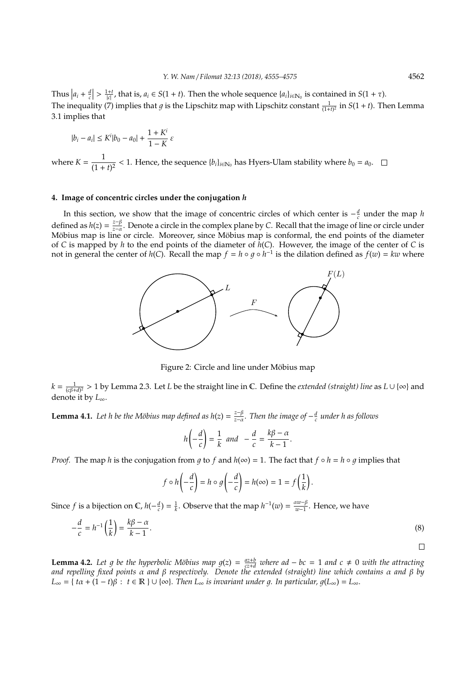Thus  $|a_i + \frac{d}{c}| > \frac{1+t}{|c|}$ , that is,  $a_i \in S(1 + t)$ . Then the whole sequence  $\{a_i\}_{i \in \mathbb{N}_0}$  is contained in  $S(1 + \tau)$ . The inequality (7) implies that *g* is the Lipschitz map with Lipschitz constant  $\frac{1}{(1+t)^2}$  in *S*(1 + *t*). Then Lemma 3.1 implies that

$$
|b_i - a_i| \le K^i |b_0 - a_0| + \frac{1 + K^i}{1 - K} \varepsilon
$$

where  $K = \frac{1}{(1 + \epsilon)}$  $\frac{1}{(1+t)^2}$  < 1. Hence, the sequence  $\{b_i\}_{i\in\mathbb{N}_0}$  has Hyers-Ulam stability where  $b_0 = a_0$ .

## **4. Image of concentric circles under the conjugation** *h*

In this section, we show that the image of concentric circles of which center is  $-\frac{d}{c}$  under the map *h* defined as  $h(z) = \frac{z-\beta}{z-\alpha}$ *z*−α . Denote a circle in the complex plane by *C*. Recall that the image of line or circle under Möbius map is line or circle. Moreover, since Möbius map is conformal, the end points of the diameter of *C* is mapped by *h* to the end points of the diameter of *h*(*C*). However, the image of the center of *C* is not in general the center of *h*(*C*). Recall the map  $f = h \circ g \circ h^{-1}$  is the dilation defined as  $f(w) = kw$  where



Figure 2: Circle and line under Möbius map

 $k = \frac{1}{(c\beta+d)^2} > 1$  by Lemma 2.3. Let *L* be the straight line in C. Define the *extended (straight) line* as *L* ∪ {∞} and denote it by *L*∞.

**Lemma 4.1.** Let h be the Möbius map defined as  $h(z) = \frac{z-\beta}{z-a}$ *z*−α *. Then the image of* − *d c under h as follows*

$$
h\left(-\frac{d}{c}\right) = \frac{1}{k} \quad \text{and} \quad -\frac{d}{c} = \frac{k\beta - \alpha}{k - 1}.
$$

*Proof.* The map *h* is the conjugation from q to f and  $h(\infty) = 1$ . The fact that  $f \circ h = h \circ q$  implies that

$$
f \circ h\left(-\frac{d}{c}\right) = h \circ g\left(-\frac{d}{c}\right) = h(\infty) = 1 = f\left(\frac{1}{k}\right).
$$

Since *f* is a bijection on  $\mathbb{C}$ ,  $h(-\frac{d}{c}) = \frac{1}{k}$ . Observe that the map  $h^{-1}(w) = \frac{\alpha w - \beta}{w - 1}$ *w*−1 . Hence, we have

$$
-\frac{d}{c} = h^{-1}\left(\frac{1}{k}\right) = \frac{k\beta - \alpha}{k - 1}.\tag{8}
$$

 $\Box$ 

**Lemma 4.2.** Let g be the hyperbolic Möbius map  $g(z) = \frac{az+b}{cz+d}$  where ad – bc = 1 and c  $\neq$  0 with the attracting *and repelling fixed points* α *and* β *respectively. Denote the extended (straight) line which contains* α *and* β *by*  $L_{\infty} = \{ t\alpha + (1-t)\beta : t \in \mathbb{R} \} \cup \{ \infty \}.$  Then  $L_{\infty}$  *is invariant under q. In particular,*  $q(L_{\infty}) = L_{\infty}$ *.*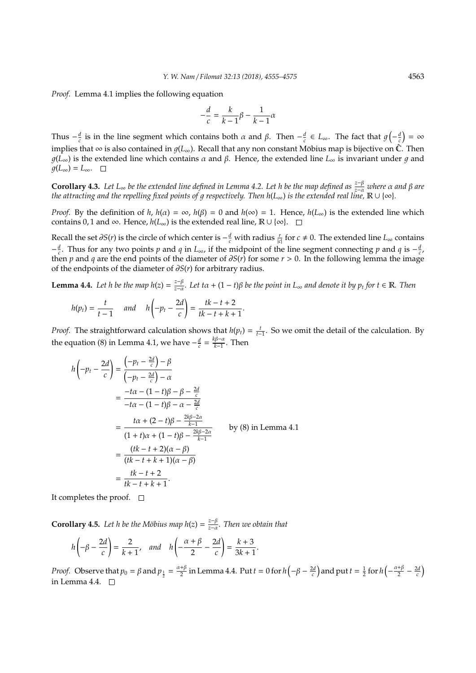*Proof.* Lemma 4.1 implies the following equation

$$
-\frac{d}{c}=\frac{k}{k-1}\beta-\frac{1}{k-1}\alpha
$$

Thus  $-\frac{d}{c}$  is in the line segment which contains both *α* and *β*. Then  $-\frac{d}{c}$  ∈ *L*<sub>∞</sub>. The fact that  $g(-\frac{d}{c}) = ∞$ implies that ∞ is also contained in  $g(L_{\infty})$ . Recall that any non constant Möbius map is bijective on  $\hat{\mathbb{C}}$ . Then  $g(L_{\infty})$  is the extended line which contains  $\alpha$  and  $\beta$ . Hence, the extended line  $L_{\infty}$  is invariant under  $g$  and  $g(L_{\infty}) = L_{\infty}$ . □

**Corollary 4.3.** *Let L*<sup>∞</sup> *be the extended line defined in Lemma 4.2. Let h be the map defined as <sup>z</sup>*−<sup>β</sup> *<sup>z</sup>*−<sup>α</sup> *where* α *and* β *are the attracting and the repelling fixed points of* 1 *respectively. Then h*(*L*∞) *is the extended real line,* R ∪ {∞}*.*

*Proof.* By the definition of *h*,  $h(a) = \infty$ ,  $h(\beta) = 0$  and  $h(\infty) = 1$ . Hence,  $h(L_{\infty})$  is the extended line which contains 0, 1 and ∞. Hence,  $h(L_{\infty})$  is the extended real line,  $\mathbb{R} \cup \{\infty\}$ .  $\square$ 

Recall the set  $\partial S(r)$  is the circle of which center is  $-\frac{d}{c}$  with radius  $\frac{r}{|c|}$  for  $c \neq 0$ . The extended line  $L_{\infty}$  contains  $-\frac{d}{c}$ . Thus for any two points *p* and *q* in *L*<sub>∞</sub>, if the midpoint of the line segment connecting *p* and *q* is  $-\frac{d}{c}$ , then *p* and *q* are the end points of the diameter of  $\partial S(r)$  for some  $r > 0$ . In the following lemma the image of the endpoints of the diameter of ∂*S*(*r*) for arbitrary radius.

**Lemma 4.4.** *Let h be the map h*(*z*) =  $\frac{z-\beta}{z-\alpha}$ *z*−α *. Let t*α + (1 − *t*)β *be the point in L*<sup>∞</sup> *and denote it by p<sup>t</sup> for t* ∈ R*. Then*

$$
h(p_t) = \frac{t}{t-1} \quad \text{and} \quad h\left(-p_t - \frac{2d}{c}\right) = \frac{tk - t + 2}{tk - t + k + 1}.
$$

*Proof.* The straightforward calculation shows that  $h(p_t) = \frac{t}{t-1}$ . So we omit the detail of the calculation. By the equation (8) in Lemma 4.1, we have  $-\frac{d}{c} = \frac{k\beta - \alpha}{k-1}$  $\frac{p-a}{k-1}$ . Then

$$
h\left(-p_t - \frac{2d}{c}\right) = \frac{\left(-p_t - \frac{2d}{c}\right) - \beta}{\left(-p_t - \frac{2d}{c}\right) - \alpha}
$$
  
\n
$$
= \frac{-t\alpha - (1 - t)\beta - \beta - \frac{2d}{c}}{-t\alpha - (1 - t)\beta - \alpha - \frac{2d}{c}}
$$
  
\n
$$
= \frac{t\alpha + (2 - t)\beta - \frac{2k\beta - 2\alpha}{k - 1}}{(1 + t)\alpha + (1 - t)\beta - \frac{2k\beta - 2\alpha}{k - 1}} \qquad \text{by (8) in Lemma 4.1}
$$
  
\n
$$
= \frac{(tk - t + 2)(\alpha - \beta)}{(tk - t + k + 1)(\alpha - \beta)}
$$
  
\n
$$
= \frac{tk - t + 2}{tk - t + k + 1}.
$$

It completes the proof.  $\square$ 

**Corollary 4.5.** Let h be the Möbius map  $h(z) = \frac{z-\beta}{z-\alpha}$ *z*−α *. Then we obtain that*

$$
h\left(-\beta - \frac{2d}{c}\right) = \frac{2}{k+1}, \quad and \quad h\left(-\frac{\alpha + \beta}{2} - \frac{2d}{c}\right) = \frac{k+3}{3k+1}.
$$

*Proof.* Observe that  $p_0 = \beta$  and  $p_{\frac{1}{2}} = \frac{\alpha + \beta}{2}$  $\frac{1+\beta}{2}$  in Lemma 4.4. Put  $t = 0$  for  $h\left(-\beta - \frac{2d}{c}\right)$  and put  $t = \frac{1}{2}$  for  $h\left(-\frac{\alpha+\beta}{2}\right)$  $\frac{+\beta}{2}-\frac{2d}{c}$ in Lemma 4.4.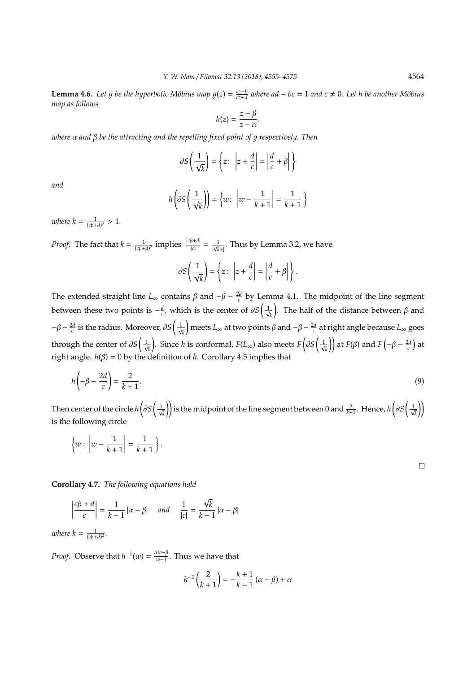**Lemma 4.6.** Let g be the hyperbolic Möbius map  $g(z) = \frac{az+b}{cz+d}$  where ad  $-bc = 1$  and  $c \neq 0$ . Let h be another Möbius *map as follows*

$$
h(z) = \frac{z - \beta}{z - \alpha}.
$$

*where α* and β be the attracting and the repelling fixed point of *q* respectively. Then

$$
\partial S\left(\frac{1}{\sqrt{k}}\right) = \left\{z: \ \left|z + \frac{d}{c}\right| = \left|\frac{d}{c} + \beta\right|\right\}
$$

*and*

$$
h\left(\partial S\left(\frac{1}{\sqrt{k}}\right)\right) = \left\{w : \left|w - \frac{1}{k+1}\right| = \frac{1}{k+1}\right\}
$$

*where k* =  $\frac{1}{(c\beta+d)^2} > 1$ *.* 

*Proof.* The fact that  $k = \frac{1}{(c\beta+d)^2}$  implies  $\frac{|c\beta+d|}{|c|} = \frac{1}{\sqrt{k}|c|}$ . Thus by Lemma 3.2, we have

$$
\partial S\left(\frac{1}{\sqrt{k}}\right) = \left\{z: \ \left|z + \frac{d}{c}\right| = \left|\frac{d}{c} + \beta\right|\right\}.
$$

The extended straight line  $L_{\infty}$  contains  $\beta$  and  $-\beta - \frac{2d}{c}$  by Lemma 4.1. The midpoint of the line segment between these two points is  $-\frac{d}{c}$ , which is the center of  $\partial S\Big(\frac{1}{\sqrt{c}}\Big)$ *k* ). The half of the distance between  $\beta$  and  $-\beta - \frac{2d}{c}$  is the radius. Moreover, ∂*S*  $\left(\frac{1}{\sqrt{c}}\right)$ *k*  $\int$  meets  $L_{\infty}$  at two points  $\beta$  and  $-\beta - \frac{2d}{c}$  at right angle because  $L_{\infty}$  goes through the center of  $\partial S\left(\frac{1}{\sqrt{2}}\right)$ *k* ). Since *h* is conformal, *F*(*L*<sub>∞</sub>) also meets *F*( $\partial S$ ( $\frac{1}{N}$  $\left(\frac{1}{k}\right)$  at *F*( $\beta$ ) and *F*( $-\beta - \frac{2d}{c}$ ) at right angle.  $h(\beta) = 0$  by the definition of *h*. Corollary 4.5 implies that

$$
h\left(-\beta - \frac{2d}{c}\right) = \frac{2}{k+1}.\tag{9}
$$

Then center of the circle  $h\left(\partial S\right) \frac{1}{\sqrt{2}}$  $\bar{k}$  ) is the midpoint of the line segment between 0 and  $\frac{2}{k+1}$  . Hence,  $h\Big(\partial S\Big(\frac{1}{\sqrt{k}}\Big)^2\Big)$ *k*  $\mathcal{L}$ is the following circle

$$
\left\{w : \left|w - \frac{1}{k+1}\right| = \frac{1}{k+1}\right\}.
$$

**Corollary 4.7.** *The following equations hold*

$$
\left|\frac{c\beta+d}{c}\right| = \frac{1}{k-1} |\alpha - \beta| \quad \text{and} \quad \frac{1}{|c|} = \frac{\sqrt{k}}{k-1} |\alpha - \beta|
$$

*where*  $k = \frac{1}{(c\beta + d)^2}$ .

*Proof.* Observe that  $h^{-1}(w) = \frac{aw - \beta}{w - 1}$ *w*−1 . Thus we have that

$$
h^{-1}\left(\frac{2}{k+1}\right) = -\frac{k+1}{k-1}\left(\alpha - \beta\right) + \alpha
$$

 $\Box$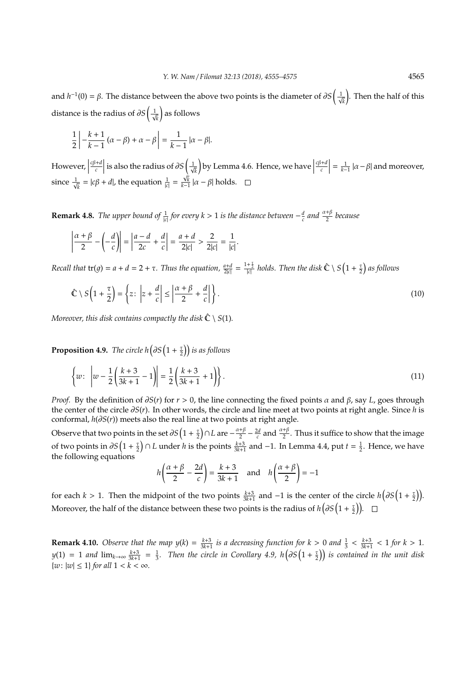and  $h^{-1}(0) = \beta$ . The distance between the above two points is the diameter of  $\partial S\left(\frac{1}{\lambda}\right)$ *k* . Then the half of this distance is the radius of  $\partial S\left(\frac{1}{\sqrt{2}}\right)$ *k* as follows

$$
\frac{1}{2}\left|-\frac{k+1}{k-1}\left(\alpha-\beta\right)+\alpha-\beta\right|=\frac{1}{k-1}\left|\alpha-\beta\right|.
$$

However,  $\vert$ *c*β+*d c* | is also the radius of  $\partial S$   $\left(\frac{1}{\sqrt{2}}\right)$ *k* by Lemma 4.6. Hence, we have *c*β+*d c*  $\mathcal{S}\left(\frac{1}{\sqrt{k}}\right)$  by Lemma 4.6. Hence, we have  $\left|\frac{c\beta+d}{c}\right| = \frac{1}{k-1} |\alpha-\beta|$  and moreover, since  $\frac{1}{\sqrt{2}}$  $\frac{1}{k} = |c\beta + d|$ , the equation  $\frac{1}{|c|} = \frac{\sqrt{k}}{k-1} |a - \beta|$  holds.

**Remark 4.8.** *The upper bound of*  $\frac{1}{|c|}$  *for every k* > 1 *is the distance between*  $-\frac{d}{c}$  *and*  $\frac{\alpha+\beta}{2}$  *because* 

$$
\left|\frac{\alpha+\beta}{2} - \left(-\frac{d}{c}\right)\right| = \left|\frac{a-d}{2c} + \frac{d}{c}\right| = \frac{a+d}{2|c|} > \frac{2}{2|c|} = \frac{1}{|c|}.
$$

*Recall that*  $tr(g) = a + d = 2 + \tau$ . Thus the equation,  $\frac{a+d}{2|c|} = \frac{1+\frac{\tau}{2}}{|c|}$  holds. Then the disk  $\hat{\mathbb{C}} \setminus S\left(1+\frac{\tau}{2}\right)$  as follows

$$
\hat{\mathbb{C}} \setminus S\left(1 + \frac{\tau}{2}\right) = \left\{z : \left|z + \frac{d}{c}\right| \le \left|\frac{\alpha + \beta}{2} + \frac{d}{c}\right|\right\}.
$$
\n(10)

*Moreover, this disk contains compactly the disk*  $\hat{\mathbb{C}} \setminus S(1)$ *.* 

**Proposition 4.9.** *The circle h*  $\left( \partial S \left( 1 + \frac{\tau}{2} \right) \right)$  *is as follows* 

$$
\left\{ w : \left| w - \frac{1}{2} \left( \frac{k+3}{3k+1} - 1 \right) \right| = \frac{1}{2} \left( \frac{k+3}{3k+1} + 1 \right) \right\}.
$$
\n(11)

*Proof.* By the definition of  $\partial S(r)$  for  $r > 0$ , the line connecting the fixed points  $\alpha$  and  $\beta$ , say *L*, goes through the center of the circle ∂*S*(*r*). In other words, the circle and line meet at two points at right angle. Since *h* is conformal, *h*(∂*S*(*r*)) meets also the real line at two points at right angle.

Observe that two points in the set  $\partial S\left(1+\frac{\tau}{2}\right) \cap L$  are  $-\frac{\alpha+\beta}{2}$  $\frac{1+\beta}{2} - \frac{2d}{c}$  and  $\frac{\alpha+\beta}{2}$ . Thus it suffice to show that the image of two points in  $\partial S(1+\frac{\tau}{2}) \cap L$  under *h* is the points  $\frac{k+3}{3k+1}$  and −1. In Lemma 4.4, put *t* =  $\frac{1}{2}$ . Hence, we have the following equations

$$
h\left(\frac{\alpha+\beta}{2} - \frac{2d}{c}\right) = \frac{k+3}{3k+1} \quad \text{and} \quad h\left(\frac{\alpha+\beta}{2}\right) = -1
$$

for each *k* > 1. Then the midpoint of the two points  $\frac{k+3}{3k+1}$  and -1 is the center of the circle  $h\left(\partial S\left(1+\frac{\tau}{2}\right)\right)$ . Moreover, the half of the distance between these two points is the radius of  $h\left(\partial S\left(1+\frac{\tau}{2}\right)\right)$ .

**Remark 4.10.** *Observe that the map*  $y(k) = \frac{k+3}{3k+1}$  *is a decreasing function for*  $k > 0$  *and*  $\frac{1}{3} < \frac{k+3}{3k+1} < 1$  *for*  $k > 1$ *.*  $y(1) = 1$  and  $\lim_{k\to\infty} \frac{k+3}{3k+1} = \frac{1}{3}$ . Then the circle in Corollary 4.9, h $\left(\partial S\left(1+\frac{1}{2}\right)\right)$  is contained in the unit disk  $\{w: |w| \leq 1\}$  *for all*  $1 < k < \infty$ *.*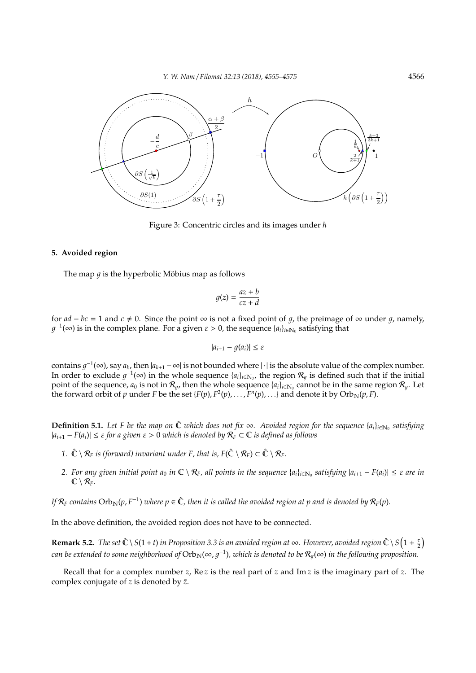

Figure 3: Concentric circles and its images under *h*

#### **5. Avoided region**

The map  $q$  is the hyperbolic Möbius map as follows

$$
g(z) = \frac{az + b}{cz + d}
$$

for  $ad - bc = 1$  and  $c \neq 0$ . Since the point ∞ is not a fixed point of g, the preimage of ∞ under g, namely,  $g^{-1}(\infty)$  is in the complex plane. For a given  $\varepsilon > 0$ , the sequence  $\{a_i\}_{i \in \mathbb{N}_0}$  satisfying that

$$
|a_{i+1}-g(a_i)|\leq \varepsilon
$$

contains  $g^{-1}(\infty)$ , say  $a_k$ , then  $|a_{k+1} - \infty|$  is not bounded where  $|\cdot|$  is the absolute value of the complex number. In order to exclude  $g^{-1}(\infty)$  in the whole sequence  $\{a_i\}_{i\in\mathbb{N}_0}$ , the region  $\mathcal{R}_g$  is defined such that if the initial point of the sequence,  $a_0$  is not in  $\mathcal{R}_g$ , then the whole sequence  $\{a_i\}_{i\in\mathbb{N}_0}$  cannot be in the same region  $\mathcal{R}_g$ . Let the forward orbit of *p* under *F* be the set {*F*(*p*), *F*<sup>2</sup>(*p*), . . . , *F<sup>n</sup>*(*p*), . . .} and denote it by Orb<sub>N</sub>(*p*, *F*).

**Definition 5.1.** Let F be the map on  $\hat{C}$  which does not fix ∞. Avoided region for the sequence {a<sub>i</sub>}<sub>i∈N0</sub> satisfying  $|a_{i+1} - F(a_i)|$  ≤  $\varepsilon$  *for a given*  $\varepsilon > 0$  *which is denoted by*  $R_F$  ⊂  $\mathbb C$  *is defined as follows* 

- *1.*  $\hat{\mathbb{C}} \setminus \mathcal{R}_F$  *is (forward) invariant under F, that is, F(* $\hat{\mathbb{C}} \setminus \mathcal{R}_F$ *)*  $\subset \hat{\mathbb{C}} \setminus \mathcal{R}_F$ *.*
- 2. For any given initial point  $a_0$  in  $\mathbb{C} \setminus R_F$ , all points in the sequence  $\{a_i\}_{i\in\mathbb{N}_0}$  satisfying  $|a_{i+1}-F(a_i)| \leq \varepsilon$  are in  $\mathbb{C} \setminus \mathcal{R}_F$ .

If  $\mathcal{R}_F$  contains  $\mathrm{Orb}_\mathbb{N}(p,F^{-1})$  where  $p\in\hat{\mathbb{C}}$ , then it is called the avoided region at  $p$  and is denoted by  $\mathcal{R}_F(p)$ .

In the above definition, the avoided region does not have to be connected.

**Remark 5.2.** *The set*  $\hat{C} \setminus S(1+t)$  *in Proposition 3.3 is an avoided region at* ∞. However, avoided region  $\hat{C} \setminus S\left(1+\frac{\tau}{2}\right)$  $c$ an be extended to some neighborhood of  $\rm Orb_N(\infty, g^{-1})$ , which is denoted to be  $\mathcal{R}_g(\infty)$  in the following proposition.

Recall that for a complex number *z*, Re *z* is the real part of *z* and Im *z* is the imaginary part of *z*. The complex conjugate of  $z$  is denoted by  $\bar{z}$ .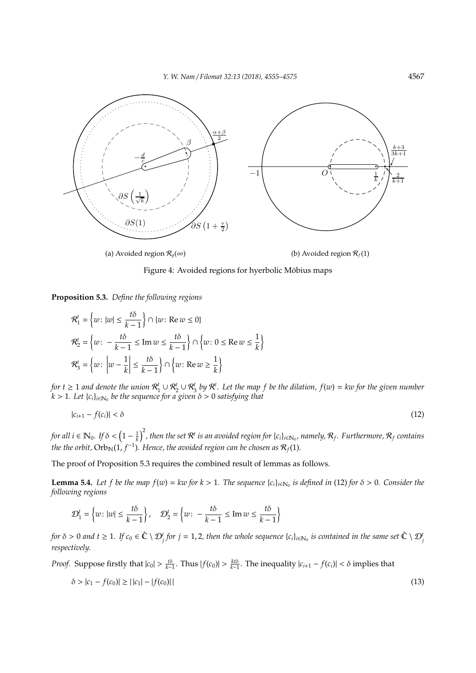*Y. W. Nam* / *Filomat 32:13 (2018), 4555–4575* 4567



Figure 4: Avoided regions for hyerbolic Möbius maps

**Proposition 5.3.** *Define the following regions*

$$
\mathcal{R}_1^t = \left\{ w : |w| \le \frac{t\delta}{k-1} \right\} \cap \left\{ w : \text{Re } w \le 0 \right\}
$$
\n
$$
\mathcal{R}_2^t = \left\{ w : -\frac{t\delta}{k-1} \le \text{Im } w \le \frac{t\delta}{k-1} \right\} \cap \left\{ w : 0 \le \text{Re } w \le \frac{1}{k} \right\}
$$
\n
$$
\mathcal{R}_3^t = \left\{ w : \left| w - \frac{1}{k} \right| \le \frac{t\delta}{k-1} \right\} \cap \left\{ w : \text{Re } w \ge \frac{1}{k} \right\}
$$

*for*  $t \ge 1$  and denote the union  $\mathcal{R}_1^t \cup \mathcal{R}_2^t \cup \mathcal{R}_3^t$  by  $\mathcal{R}^t$ . Let the map f be the dilation,  $f(w) = kw$  for the given number  $\hat{k} > 1$ *. Let* { $c_i$ }<sub>i∈N0</sub> be the sequence for a given  $\delta > 0$  satisfying that

$$
|c_{i+1} - f(c_i)| < \delta \tag{12}
$$

for all  $i\in\mathbb{N}_0$ . If  $\delta<\left(1-\frac{1}{k}\right)^2$ , then the set  $\mathcal{R}^t$  is an avoided region for {c<sub>i</sub>}<sub>i∈N0</sub>, namely,  $\mathcal{R}_f$ . Furthermore,  $\mathcal{R}_f$  contains the the orbit,  $\mathrm{Orb}_{\mathbb{N}}(1,f^{-1})$ . Hence, the avoided region can be chosen as  $\mathcal{R}_f(1)$ .

The proof of Proposition 5.3 requires the combined result of lemmas as follows.

**Lemma 5.4.** Let f be the map  $f(w) = kw$  for  $k > 1$ . The sequence  $\{c_i\}_{i \in \mathbb{N}_0}$  is defined in (12) for  $\delta > 0$ . Consider the *following regions*

$$
\mathcal{D}_1^t = \left\{ w : |w| \le \frac{t\delta}{k-1} \right\}, \quad \mathcal{D}_2^t = \left\{ w : -\frac{t\delta}{k-1} \le \text{Im } w \le \frac{t\delta}{k-1} \right\}
$$

*for*  $\delta > 0$  and  $t \ge 1$ . If  $c_0 \in \hat{\mathbb{C}} \setminus \mathcal{D}_j^t$  for  $j = 1, 2$ , then the whole sequence  $\{c_i\}_{i \in \mathbb{N}_0}$  is contained in the same set  $\hat{\mathbb{C}} \setminus \mathcal{D}_j^t$ *respectively.*

*Proof.* Suppose firstly that  $|c_0| > \frac{t\delta}{k-1}$ . Thus  $|f(c_0)| > \frac{kt\delta}{k-1}$ . The inequality  $|c_{i+1} - f(c_i)| < \delta$  implies that

$$
\delta > |c_1 - f(c_0)| \ge ||c_1| - |f(c_0)|| \tag{13}
$$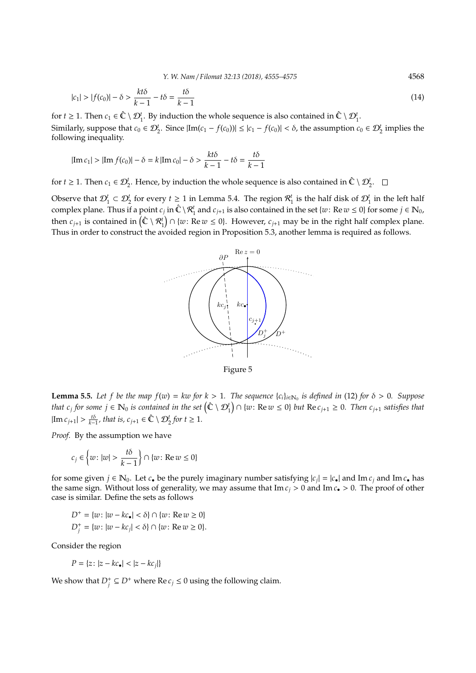*Y. W. Nam* / *Filomat 32:13 (2018), 4555–4575* 4568

$$
|c_1| > |f(c_0)| - \delta > \frac{kt\delta}{k-1} - t\delta = \frac{t\delta}{k-1}
$$
\n
$$
(14)
$$

for *t*  $\geq$  1. Then *c*<sub>1</sub>  $\in \hat{\mathbb{C}} \setminus \mathcal{D}_{1}^{t}$ . By induction the whole sequence is also contained in  $\hat{\mathbb{C}} \setminus \mathcal{D}_{1}^{t}$ . Similarly, suppose that  $c_0 \in \mathcal{D}_2^t$ . Since  $|\text{Im}(c_1 - f(c_0))| \le |c_1 - f(c_0)| < \delta$ , the assumption  $c_0 \in \mathcal{D}_2^t$  implies the following inequality.

$$
|\text{Im } c_1| > |\text{Im } f(c_0)| - \delta = k |\text{Im } c_0| - \delta > \frac{kt\delta}{k-1} - t\delta = \frac{t\delta}{k-1}
$$

for *t*  $\geq$  1. Then *c*<sub>1</sub>  $\in$   $\mathcal{D}_2^t$ . Hence, by induction the whole sequence is also contained in  $\hat{C} \setminus \mathcal{D}_2^t$ .

Observe that  $\mathcal{D}_1^t \subset \mathcal{D}_2^t$  for every  $t \ge 1$  in Lemma 5.4. The region  $\mathcal{R}_1^t$  is the half disk of  $\mathcal{D}_1^t$  in the left half complex plane. Thus if a point  $c_j$  in  $\hat{\mathbb{C}} \setminus \mathcal{R}_1^t$  and  $c_{j+1}$  is also contained in the set  $\{w: \text{Re } w \leq 0\}$  for some  $j \in \mathbb{N}_0$ , then  $c_{j+1}$  is contained in  $(\hat{\mathbb{C}} \setminus \mathcal{R}_1^t) \cap \{w : \text{Re } w \leq 0\}$ . However,  $c_{j+1}$  may be in the right half complex plane. Thus in order to construct the avoided region in Proposition 5.3, another lemma is required as follows.



**Lemma 5.5.** Let f be the map  $f(w) = kw$  for  $k > 1$ . The sequence  $\{c_i\}_{i \in \mathbb{N}_0}$  is defined in (12) for  $\delta > 0$ . Suppose that  $c_j$  for some  $j \in \mathbb{N}_0$  is contained in the set  $(\hat{\mathbb{C}} \setminus \mathcal{D}_1^t) \cap \{w : \text{Re } w \le 0\}$  but  $\text{Re } c_{j+1} \ge 0$ . Then  $c_{j+1}$  satisfies that  $|\text{Im } c_{j+1}| > \frac{t\delta}{k-1}$ , that is,  $c_{j+1} \in \hat{\mathbb{C}} \setminus \mathcal{D}_2^t$  for  $t \geq 1$ .

*Proof.* By the assumption we have

$$
c_j\in\left\{w\colon |w|>\frac{t\delta}{k-1}\right\}\cap\{w\colon\mathrm{Re}\,w\leq 0\}
$$

for some given  $j \in \mathbb{N}_0$ . Let  $c_{\bullet}$  be the purely imaginary number satisfying  $|c_j| = |c_{\bullet}|$  and Im  $c_j$  and Im  $c_{\bullet}$  has the same sign. Without loss of generality, we may assume that  $\text{Im } c_i > 0$  and  $\text{Im } c_i > 0$ . The proof of other case is similar. Define the sets as follows

$$
D^+ = \{w : |w - kc_{\bullet}| < \delta\} \cap \{w : \text{Re } w \ge 0\}
$$
\n
$$
D_j^+ = \{w : |w - kc_j| < \delta\} \cap \{w : \text{Re } w \ge 0\}.
$$

Consider the region

$$
P = \{ z \colon |z - kc_{\bullet}| < |z - kc_j| \}
$$

We show that  $D_j^+ \subseteq D^+$  where Re  $c_j \le 0$  using the following claim.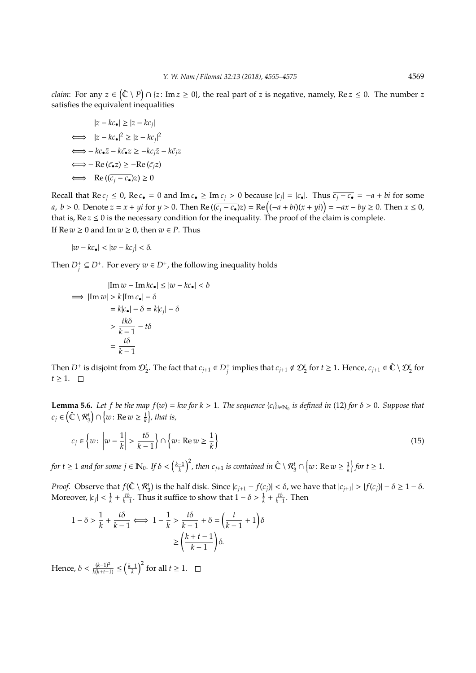*claim*: For any  $z \in (\hat{\mathbb{C}} \setminus P) \cap \{z \colon \text{Im } z \ge 0\}$ , the real part of *z* is negative, namely, Re  $z \le 0$ . The number *z* satisfies the equivalent inequalities

$$
|z - kc_{\bullet}| \ge |z - kc_j|
$$
  
\n
$$
\iff |z - kc_{\bullet}|^2 \ge |z - kc_j|^2
$$
  
\n
$$
\iff -kc_{\bullet}\overline{z} - k\overline{c_{\bullet}}z \ge -kc_j\overline{z} - k\overline{c_j}z
$$
  
\n
$$
\iff -\text{Re}(\overline{c_{\bullet}}z) \ge -\text{Re}(\overline{c_j}z)
$$
  
\n
$$
\iff \text{Re}((\overline{c_j} - \overline{c_{\bullet}})z) \ge 0
$$

Recall that  $\text{Re } c_j \le 0$ ,  $\text{Re } c_{\bullet} = 0$  and  $\text{Im } c_{\bullet} \ge \text{Im } c_j > 0$  because  $|c_j| = |c_{\bullet}|$ . Thus  $\overline{c_j - c_{\bullet}} = -a + bi$  for some *a*, *b* > 0. Denote  $z = x + yi$  for  $y > 0$ . Then Re  $((c_i - c_{\bullet})z) = \text{Re}((-a + bi)(x + yi)) = -ax - by \ge 0$ . Then  $x \le 0$ , that is,  $\text{Re } z \leq 0$  is the necessary condition for the inequality. The proof of the claim is complete. If  $\text{Re } w \geq 0$  and  $\text{Im } w \geq 0$ , then  $w \in P$ . Thus

$$
|w - kc_{\bullet}| < |w - kc_j| < \delta.
$$

Then  $D_j^+ \subseteq D^+$ . For every  $w \in D^+$ , the following inequality holds

$$
|\text{Im } w - \text{Im } kc_{\bullet}| \le |w - kc_{\bullet}| < \delta
$$
  
\n
$$
\implies |\text{Im } w| > k |\text{Im } c_{\bullet}| - \delta
$$
  
\n
$$
= k|c_{\bullet}| - \delta = k|c_j| - \delta
$$
  
\n
$$
> \frac{tk\delta}{k-1} - t\delta
$$
  
\n
$$
= \frac{t\delta}{k-1}
$$

Then  $D^+$  is disjoint from  $\mathcal{D}_2^t$ . The fact that  $c_{j+1} \in D_j^+$  implies that  $c_{j+1} \notin \mathcal{D}_2^t$  for  $t \geq 1$ . Hence,  $c_{j+1} \in \hat{\mathbb{C}} \setminus \mathcal{D}_2^t$  for  $t$  ≥ 1.  $□$ 

**Lemma 5.6.** Let f be the map  $f(w) = kw$  for  $k > 1$ . The sequence  $\{c_i\}_{i \in \mathbb{N}_0}$  is defined in (12) for  $\delta > 0$ . Suppose that  $c_j \in \left(\mathbb{\hat{C}} \setminus \mathcal{R}_3^t\right) \cap \left\{w \colon \text{Re } w \geq \frac{1}{k}\right\}$ , that is,

$$
c_j \in \left\{ w \colon \left| w - \frac{1}{k} \right| > \frac{t\delta}{k-1} \right\} \cap \left\{ w \colon \text{Re}\, w \ge \frac{1}{k} \right\} \tag{15}
$$

 $f$  *for t*  $\geq 1$  *and for some j*  $\in$   $\mathbb{N}_0$ *. If*  $\delta < \left(\frac{k-1}{k}\right)^2$ *, then c*<sub>j+1</sub> *is contained in*  $\hat{\mathbb{C}} \setminus \mathcal{R}_3^t \cap \left\{w : \text{Re } w \geq \frac{1}{k}\right\}$  for  $t \geq 1$ .

*Proof.* Observe that  $f(\hat{\mathbb{C}} \setminus \mathcal{R}_3^t)$  is the half disk. Since  $|c_{j+1} - f(c_j)| < \delta$ , we have that  $|c_{j+1}| > |f(c_j)| - \delta \ge 1 - \delta$ . Moreover,  $|c_j| < \frac{1}{k} + \frac{t\delta}{k-1}$ . Thus it suffice to show that  $1 - \delta > \frac{1}{k} + \frac{t\delta}{k-1}$ . Then

$$
1 - \delta > \frac{1}{k} + \frac{t\delta}{k - 1} \Longleftrightarrow 1 - \frac{1}{k} > \frac{t\delta}{k - 1} + \delta = \left(\frac{t}{k - 1} + 1\right)\delta
$$

$$
\geq \left(\frac{k + t - 1}{k - 1}\right)\delta.
$$

Hence,  $\delta < \frac{(k-1)^2}{k(k+t-1)} \leq \left(\frac{k-1}{k}\right)^2$  for all  $t \geq 1$ .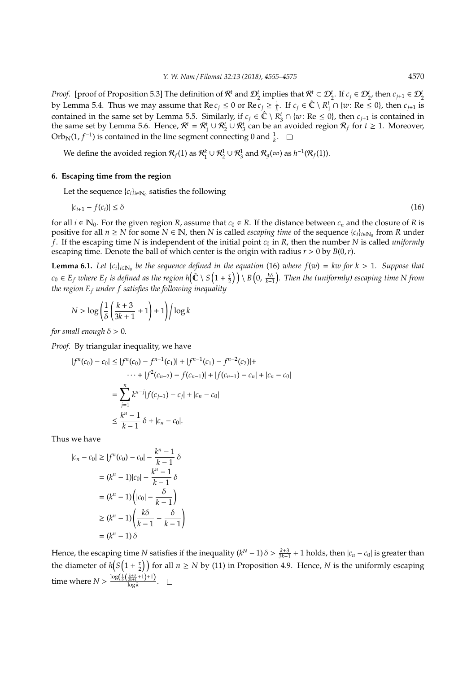*Proof.* [proof of Proposition 5.3] The definition of  $\mathcal{R}^t$  and  $\mathcal{D}_2^t$  implies that  $\mathcal{R}^t \subset \mathcal{D}_2^t$ . If  $c_j \in \mathcal{D}_2^t$ , then  $c_{j+1} \in \mathcal{D}_2^t$ by Lemma 5.4. Thus we may assume that  $\text{Re } c_j \leq 0$  or  $\text{Re } c_j \geq \frac{1}{k}$ . If  $c_j \in \hat{\mathbb{C}} \setminus R_1^t \cap \{w : \text{Re } \leq 0\}$ , then  $c_{j+1}$  is contained in the same set by Lemma 5.5. Similarly, if  $c_j \in \hat{\mathbb{C}} \setminus R_3^t \cap \{w : \text{Re} \leq 0\}$ , then  $c_{j+1}$  is contained in the same set by Lemma 5.6. Hence,  $\mathcal{R}^t = \mathcal{R}_1^t \cup \mathcal{R}_2^t \cup \mathcal{R}_3^t$  can be an avoided region  $\mathcal{R}_f$  for  $t \ge 1$ . Moreover, Orb<sub>N</sub>(1, *f*<sup>-1</sup>) is contained in the line segment connecting 0 and  $\frac{1}{k}$ .

We define the avoided region  $\mathcal{R}_f$ (1) as  $\mathcal{R}_1^k\cup\mathcal{R}_2^1\cup\mathcal{R}_3^1$  and  $\mathcal{R}_g(\infty)$  as  $h^{-1}(\mathcal{R}_f(1)).$ 

### **6. Escaping time from the region**

Let the sequence  ${c_i}_{i \in \mathbb{N}_0}$  satisfies the following

$$
|c_{i+1} - f(c_i)| \le \delta \tag{16}
$$

for all  $i \in \mathbb{N}_0$ . For the given region *R*, assume that  $c_0 \in R$ . If the distance between  $c_n$  and the closure of *R* is positive for all  $n \ge N$  for some  $N \in \mathbb{N}$ , then  $N$  is called *escaping time* of the sequence  $\{c_i\}_{i \in \mathbb{N}_0}$  from  $R$  under  $f$ . If the escaping time  $N$  is independent of the initial point  $c_0$  in  $R$ , then the number  $N$  is called *uniformly* escaping time. Denote the ball of which center is the origin with radius  $r > 0$  by  $B(0, r)$ .

**Lemma 6.1.** Let  $\{c_i\}_{i\in\mathbb{N}_0}$  be the sequence defined in the equation (16) where  $f(w) = kw$  for  $k > 1$ . Suppose that  $c_0 \in E_f$  where  $E_f$  is defined as the region h $\left(\hat{\mathbb{C}} \setminus S\left(1+\frac{\tau}{2}\right)\right) \setminus B\left(0,\frac{k\delta}{k-1}\right)$ . Then the (uniformly) escaping time N from *the region E<sup>f</sup> under f satisfies the following inequality*

$$
N > \log \left( \frac{1}{\delta} \left( \frac{k+3}{3k+1} + 1 \right) + 1 \right) / \log k
$$

*for small enough*  $\delta > 0$ *.* 

*Proof.* By triangular inequality, we have

$$
|f^{n}(c_{0}) - c_{0}| \le |f^{n}(c_{0}) - f^{n-1}(c_{1})| + |f^{n-1}(c_{1}) - f^{n-2}(c_{2})| + \cdots + |f^{2}(c_{n-2}) - f(c_{n-1})| + |f(c_{n-1}) - c_{n}| + |c_{n} - c_{0}|
$$
  

$$
= \sum_{j=1}^{n} k^{n-j} |f(c_{j-1}) - c_{j}| + |c_{n} - c_{0}|
$$
  

$$
\le \frac{k^{n} - 1}{k - 1} \delta + |c_{n} - c_{0}|.
$$

Thus we have

$$
|c_n - c_0| \ge |f^n(c_0) - c_0| - \frac{k^n - 1}{k - 1} \delta
$$
  

$$
= (k^n - 1)|c_0| - \frac{k^n - 1}{k - 1} \delta
$$
  

$$
= (k^n - 1) \left( |c_0| - \frac{\delta}{k - 1} \right)
$$
  

$$
\ge (k^n - 1) \left( \frac{k\delta}{k - 1} - \frac{\delta}{k - 1} \right)
$$
  

$$
= (k^n - 1) \delta
$$

Hence, the escaping time *N* satisfies if the inequality  $(k^N - 1)\delta > \frac{k+3}{3k+1} + 1$  holds, then  $|c_n - c_0|$  is greater than the diameter of  $h(S(1 + \frac{\tau}{2}))$  for all  $n \geq N$  by (11) in Proposition 4.9. Hence, *N* is the uniformly escaping time where  $N > \frac{\log(\frac{1}{\delta}(\frac{k+3}{3k+1}+1)+1)}{\log k}$  $\frac{3k+1}{\log k}$ .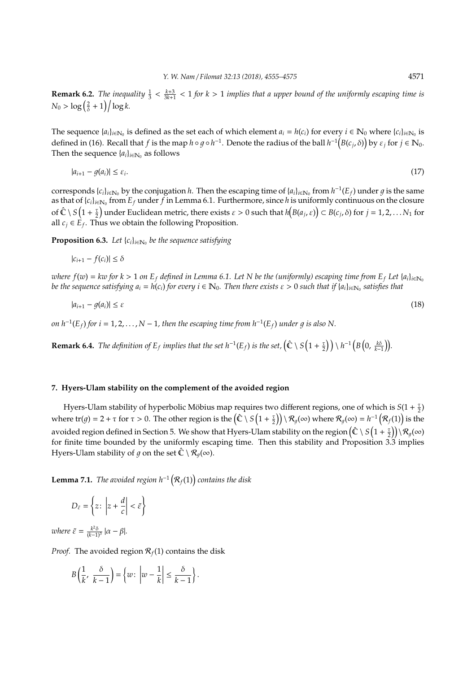**Remark 6.2.** The inequality  $\frac{1}{3} < \frac{k+3}{3k+1} < 1$  for  $k > 1$  implies that a upper bound of the uniformly escaping time is  $N_0 > \log\left(\frac{2}{\delta} + 1\right) / \log k.$ 

The sequence  $\{a_i\}_{i\in\mathbb{N}_0}$  is defined as the set each of which element  $a_i = h(c_i)$  for every  $i \in \mathbb{N}_0$  where  $\{c_i\}_{i\in\mathbb{N}_0}$  is defined in (16). Recall that *f* is the map  $h \circ g \circ h^{-1}$ . Denote the radius of the ball  $h^{-1}(B(c_j, \delta))$  by  $\varepsilon_j$  for  $j \in \mathbb{N}_0$ . Then the sequence  $\{a_i\}_{i \in \mathbb{N}_0}$  as follows

$$
|a_{i+1} - g(a_i)| \le \varepsilon_i. \tag{17}
$$

corresponds  $\{c_i\}_{i\in\mathbb{N}_0}$  by the conjugation *h*. Then the escaping time of  $\{a_i\}_{i\in\mathbb{N}_0}$  from  $h^{-1}(E_f)$  under  $g$  is the same as that of  $\{c_i\}_{i\in\mathbb{N}_0}$  from  $E_f$  under  $f$  in Lemma 6.1. Furthermore, since  $h$  is uniformly continuous on the closure of  $\hat{C} \setminus S(1+\frac{\tau}{2})$  under Euclidean metric, there exists  $\varepsilon > 0$  such that  $h(B(a_j, \varepsilon)) \subset B(c_j, \delta)$  for  $j = 1, 2, ... N_1$  for all  $c_j \in \hat{E}_f$ . Thus we obtain the following Proposition.

**Proposition 6.3.** *Let* { $c_i$ }<sub>*i*∈N<sub>0</sub></sub> *be the sequence satisfying* 

$$
|c_{i+1} - f(c_i)| \le \delta
$$

*where*  $f(w) = kw$  *for*  $k > 1$  *on*  $E_f$  *defined in Lemma 6.1. Let N be the (uniformly) escaping time from*  $E_f$  *Let*  $\{a_i\}_{i \in \mathbb{N}_0}$ *be the sequence satisfying*  $a_i = h(c_i)$  *for every*  $i \in \mathbb{N}_0$ *. Then there exists*  $\varepsilon > 0$  *such that if*  $[a_i]_{i \in \mathbb{N}_0}$  *satisfies that* 

$$
|a_{i+1} - g(a_i)| \le \varepsilon \tag{18}
$$

*on*  $h^{-1}(E_f)$  for  $i = 1, 2, ..., N − 1$ , then the escaping time from  $h^{-1}(E_f)$  under g is also N.

**Remark 6.4.** The definition of  $E_f$  implies that the set  $h^{-1}(E_f)$  is the set,  $(\hat{\mathbb{C}} \setminus S(1 + \frac{\tau}{2})) \setminus h^{-1}(B(0, \frac{k\delta}{k-1}))$ .

#### **7. Hyers-Ulam stability on the complement of the avoided region**

Hyers-Ulam stability of hyperbolic Möbius map requires two different regions, one of which is  $S(1 + \frac{\tau}{2})$ where  $tr(g) = 2 + \tau$  for  $\tau > 0$ . The other region is the  $(\hat{\mathbb{C}} \setminus S\left(1 + \frac{\tau}{2}\right)) \setminus \mathcal{R}_g(\infty)$  where  $\mathcal{R}_g(\infty) = h^{-1}\left(\mathcal{R}_f(1)\right)$  is the avoided region defined in Section 5. We show that Hyers-Ulam stability on the region  $\left(\hat\mathbb C\setminus S\left(1+ \frac\tau2\right)\right)\setminus\mathcal R_g(\infty)$ for finite time bounded by the uniformly escaping time. Then this stability and Proposition 3.3 implies Hyers-Ulam stability of q on the set  $\hat{\mathbb{C}} \setminus \mathcal{R}_q(\infty)$ .

**Lemma 7.1.** *The avoided region h*<sup>−</sup><sup>1</sup> <sup>R</sup>*f*(1) *contains the disk*

$$
D_{\tilde{\varepsilon}} = \left\{ z \colon \left| z + \frac{d}{c} \right| < \tilde{\varepsilon} \right\}
$$

*where*  $\tilde{\varepsilon} = \frac{k^2 \delta}{(k-1)^3} |\alpha - \beta|$ *.* 

*Proof.* The avoided region  $\mathcal{R}_f(1)$  contains the disk

$$
B\left(\frac{1}{k}, \frac{\delta}{k-1}\right) = \left\{w \colon \left|w - \frac{1}{k}\right| \leq \frac{\delta}{k-1}\right\}.
$$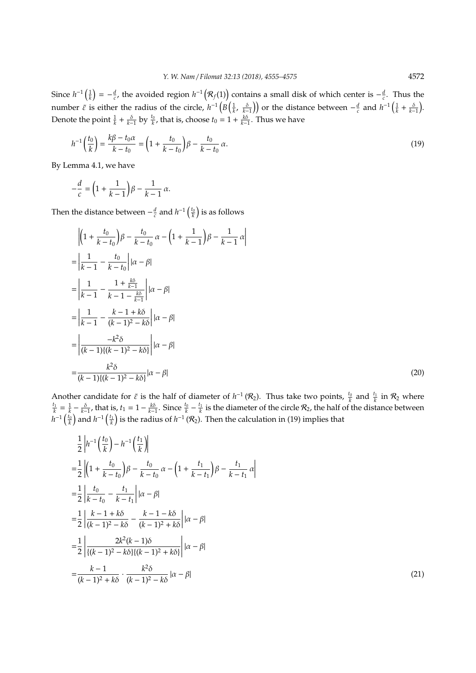Since  $h^{-1}(\frac{1}{k}) = -\frac{d}{c}$ , the avoided region  $h^{-1}(\mathcal{R}_f(1))$  contains a small disk of which center is  $-\frac{d}{c}$ . Thus the number  $\tilde{\varepsilon}$  is either the radius of the circle,  $h^{-1}\left(B\left(\frac{1}{k}, \frac{\delta}{k-1}\right)\right)$  or the distance between  $-\frac{d}{c}$  and  $h^{-1}\left(\frac{1}{k} + \frac{\delta}{k-1}\right)$ . Denote the point  $\frac{1}{k} + \frac{\delta}{k-1}$  by  $\frac{t_0}{k}$ , that is, choose  $t_0 = 1 + \frac{k\delta}{k-1}$ . Thus we have

$$
h^{-1}\left(\frac{t_0}{k}\right) = \frac{k\beta - t_0\alpha}{k - t_0} = \left(1 + \frac{t_0}{k - t_0}\right)\beta - \frac{t_0}{k - t_0}\alpha.
$$
\n(19)

By Lemma 4.1, we have

$$
-\frac{d}{c} = \left(1 + \frac{1}{k-1}\right)\beta - \frac{1}{k-1}\alpha.
$$

Then the distance between  $-\frac{d}{c}$  and  $h^{-1}\left(\frac{t_0}{k}\right)$  is as follows

$$
\begin{aligned}\n&\left| \left(1 + \frac{t_0}{k - t_0}\right) \beta - \frac{t_0}{k - t_0} \alpha - \left(1 + \frac{1}{k - 1}\right) \beta - \frac{1}{k - 1} \alpha \right| \\
&= \left| \frac{1}{k - 1} - \frac{t_0}{k - t_0} \right| |\alpha - \beta| \\
&= \left| \frac{1}{k - 1} - \frac{1 + \frac{k\delta}{k - 1}}{k - 1 - \frac{k\delta}{k - 1}} \right| |\alpha - \beta| \\
&= \left| \frac{1}{k - 1} - \frac{k - 1 + k\delta}{(k - 1)^2 - k\delta} \right| |\alpha - \beta| \\
&= \left| \frac{-k^2 \delta}{(k - 1)\{(k - 1)^2 - k\delta\}} \right| |\alpha - \beta| \\
&= \frac{k^2 \delta}{(k - 1)\{(k - 1)^2 - k\delta\}} |\alpha - \beta|\n\end{aligned} \tag{20}
$$

Another candidate for  $\tilde{\varepsilon}$  is the half of diameter of  $h^{-1}(\mathcal{R}_2)$ . Thus take two points,  $\frac{t_0}{k}$  and  $\frac{t_1}{k}$  in  $\mathcal{R}_2$  where  $\frac{t_1}{k} = \frac{1}{k} - \frac{\delta}{k-1}$ , that is,  $t_1 = 1 - \frac{k\delta}{k-1}$ . Since  $\frac{t_0}{k} - \frac{t_1}{k}$  is the diameter of the circle  $\mathcal{R}_2$ , the half of the distance between  $h^{-1}\left(\frac{t_0}{k}\right)$  and  $h^{-1}\left(\frac{t_1}{k}\right)$  is the radius of  $h^{-1}\left(\mathcal{R}_2\right)$ . Then the calculation in (19) implies that

$$
\frac{1}{2} \left| h^{-1} \left( \frac{t_0}{k} \right) - h^{-1} \left( \frac{t_1}{k} \right) \right|
$$
\n
$$
= \frac{1}{2} \left| \left( 1 + \frac{t_0}{k - t_0} \right) \beta - \frac{t_0}{k - t_0} \alpha - \left( 1 + \frac{t_1}{k - t_1} \right) \beta - \frac{t_1}{k - t_1} \alpha \right|
$$
\n
$$
= \frac{1}{2} \left| \frac{t_0}{k - t_0} - \frac{t_1}{k - t_1} \right| | \alpha - \beta|
$$
\n
$$
= \frac{1}{2} \left| \frac{k - 1 + k\delta}{(k - 1)^2 - k\delta} - \frac{k - 1 - k\delta}{(k - 1)^2 + k\delta} \right| | \alpha - \beta|
$$
\n
$$
= \frac{1}{2} \left| \frac{2k^2(k - 1)\delta}{\{(k - 1)^2 - k\delta\} \{(k - 1)^2 + k\delta\}} \right| | \alpha - \beta|
$$
\n
$$
= \frac{k - 1}{(k - 1)^2 + k\delta} \cdot \frac{k^2 \delta}{(k - 1)^2 - k\delta} | \alpha - \beta|
$$
\n(21)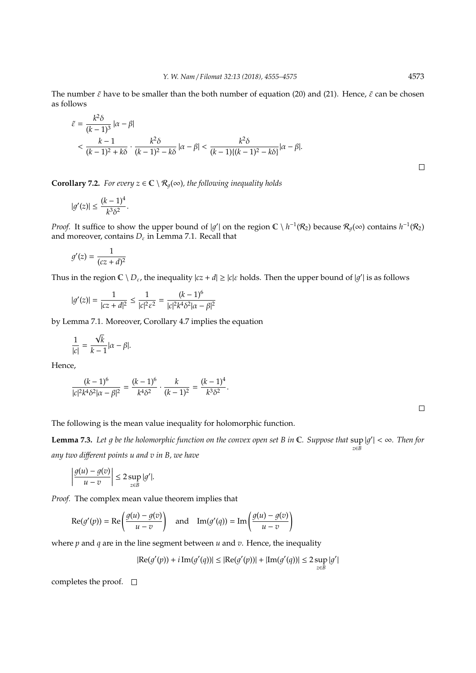The number  $\tilde{\varepsilon}$  have to be smaller than the both number of equation (20) and (21). Hence,  $\tilde{\varepsilon}$  can be chosen as follows

$$
\begin{aligned} \tilde{\varepsilon} &= \frac{k^2 \delta}{(k-1)^3} \left| \alpha - \beta \right| \\ &< \frac{k-1}{(k-1)^2 + k\delta} \cdot \frac{k^2 \delta}{(k-1)^2 - k\delta} \left| \alpha - \beta \right| < \frac{k^2 \delta}{(k-1)\{(k-1)^2 - k\delta\}} \left| \alpha - \beta \right|. \end{aligned}
$$

**Corollary 7.2.** *For every*  $z \in \mathbb{C} \setminus \mathcal{R}_q(\infty)$ *, the following inequality holds* 

$$
|g'(z)| \le \frac{(k-1)^4}{k^3 \delta^2}
$$

.

*Proof.* It suffice to show the upper bound of |g'| on the region  $\mathbb{C} \setminus h^{-1}(\mathcal{R}_2)$  because  $\mathcal{R}_g(\infty)$  contains  $h^{-1}(\mathcal{R}_2)$ and moreover, contains *D*<sup>ε</sup> in Lemma 7.1. Recall that

$$
g'(z) = \frac{1}{(cz+d)^2}
$$

Thus in the region  $C \setminus D_{\varepsilon}$ , the inequality  $|cz+d| \ge |c|\varepsilon$  holds. Then the upper bound of  $|g'|$  is as follows

$$
|g'(z)| = \frac{1}{|cz+d|^2} \le \frac{1}{|c|^2 \varepsilon^2} = \frac{(k-1)^6}{|c|^2 k^4 \delta^2 |\alpha - \beta|^2}
$$

by Lemma 7.1. Moreover, Corollary 4.7 implies the equation

$$
\frac{1}{|c|} = \frac{\sqrt{k}}{k-1} |\alpha - \beta|.
$$

Hence,

$$
\frac{(k-1)^6}{|c|^2 k^4 \delta^2 |\alpha - \beta|^2} = \frac{(k-1)^6}{k^4 \delta^2} \cdot \frac{k}{(k-1)^2} = \frac{(k-1)^4}{k^3 \delta^2}.
$$

 $\Box$ 

 $\Box$ 

The following is the mean value inequality for holomorphic function.

**Lemma 7.3.** Let g be the holomorphic function on the convex open set B in  $\mathbb{C}$ . Suppose that  $\sup |g'| < \infty$ . Then for *z*∈*B any two di*ff*erent points u and v in B, we have*

$$
\left|\frac{g(u)-g(v)}{u-v}\right| \leq 2 \sup_{z \in B} |g'|.
$$

*Proof.* The complex mean value theorem implies that

$$
\operatorname{Re}(g'(p)) = \operatorname{Re}\left(\frac{g(u) - g(v)}{u - v}\right) \quad \text{and} \quad \operatorname{Im}(g'(q)) = \operatorname{Im}\left(\frac{g(u) - g(v)}{u - v}\right)
$$

where *p* and *q* are in the line segment between *u* and *v*. Hence, the inequality

$$
|\text{Re}(g'(p))+i\,\text{Im}(g'(q))|\leq |\text{Re}(g'(p))|+|\text{Im}(g'(q))|\leq 2\sup_{z\in B}|g'|
$$

completes the proof.  $\square$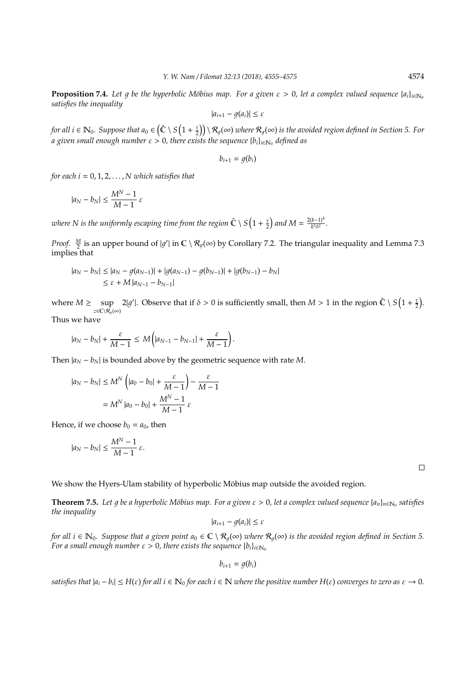**Proposition 7.4.** *Let q be the hyperbolic Möbius map. For a given*  $\varepsilon > 0$ , *let a complex valued sequence* { $a_i$ }<sub>*i*∈N<sub>0</sub></sub> *satisfies the inequality*

$$
|a_{i+1}-g(a_i)|\leq \varepsilon
$$

for all  $i\in \mathbb{N}_0$ . Suppose that  $a_0\in \left(\hat{\mathbb{C}}\setminus S\left(1+\frac{\tau}{2}\right)\right)\setminus \mathcal{R}_g(\infty)$  where  $\mathcal{R}_g(\infty)$  is the avoided region defined in Section 5. For *a given small enough number*  $\varepsilon > 0$ , there exists the sequence  $\{b_i\}_{i\in \mathbb{N}_0}$  defined as

$$
b_{i+1}=g(b_i)
$$

*for each i* =  $0, 1, 2, \ldots$ , *N* which satisfies that

$$
|a_N-b_N|\leq \frac{M^N-1}{M-1}\,\varepsilon
$$

where N is the uniformly escaping time from the region  $\hat{\mathbb{C}} \setminus S\left(1+\frac{\tau}{2}\right)$  and  $M = \frac{2(k-1)^4}{k^3\delta^2}$  $\frac{(k-1)}{k^3\delta^2}$ .

*Proof.*  $\frac{M}{2}$  is an upper bound of  $|g'|$  in  $\mathbb{C} \setminus \mathcal{R}_g(\infty)$  by Corollary 7.2. The triangular inequality and Lemma 7.3 implies that

$$
|a_N - b_N| \le |a_N - g(a_{N-1})| + |g(a_{N-1}) - g(b_{N-1})| + |g(b_{N-1}) - b_N|
$$
  
\$\le \varepsilon + M |a\_{N-1} - b\_{N-1}|\$

where  $M \geq \sup$ *z*∈C\ $\mathcal{R}_q(\infty)$ 2|g'|. Observe that if  $\delta > 0$  is sufficiently small, then  $M > 1$  in the region  $\hat{\mathbb{C}} \setminus S\left(1 + \frac{\tau}{2}\right)$ .

Thus we have

$$
|a_N-b_N|+\frac{\varepsilon}{M-1}\leq M\bigg(|a_{N-1}-b_{N-1}|+\frac{\varepsilon}{M-1}\bigg).
$$

Then  $|a_N - b_N|$  is bounded above by the geometric sequence with rate *M*.

$$
|a_N - b_N| \le M^N \left( |a_0 - b_0| + \frac{\varepsilon}{M - 1} \right) - \frac{\varepsilon}{M - 1}
$$

$$
= M^N |a_0 - b_0| + \frac{M^N - 1}{M - 1} \varepsilon
$$

Hence, if we choose  $b_0 = a_0$ , then

$$
|a_N-b_N|\leq \frac{M^N-1}{M-1}\,\varepsilon.
$$

 $\Box$ 

We show the Hyers-Ulam stability of hyperbolic Möbius map outside the avoided region.

**Theorem 7.5.** Let g be a hyperbolic Möbius map. For a given ε > 0, let a complex valued sequence {a<sub>n</sub>}<sub>n∈N0</sub> satisfies *the inequality*

$$
|a_{i+1}-g(a_i)|\leq \varepsilon
$$

*for all*  $i \in \mathbb{N}_0$ . Suppose that a given point  $a_0 \in \mathbb{C} \setminus \mathcal{R}_a(\infty)$  where  $\mathcal{R}_a(\infty)$  is the avoided region defined in Section 5. *For a small enough number*  $\varepsilon > 0$ , there exists the sequence  ${b_i}_{i \in \mathbb{N}_0}$ 

$$
b_{i+1}=g(b_i)
$$

 $satisfies$  that  $|a_i - b_i| \le H(\varepsilon)$  for all  $i \in \mathbb{N}_0$  for each  $i \in \mathbb{N}$  where the positive number  $H(\varepsilon)$  converges to zero as  $\varepsilon \to 0$ .